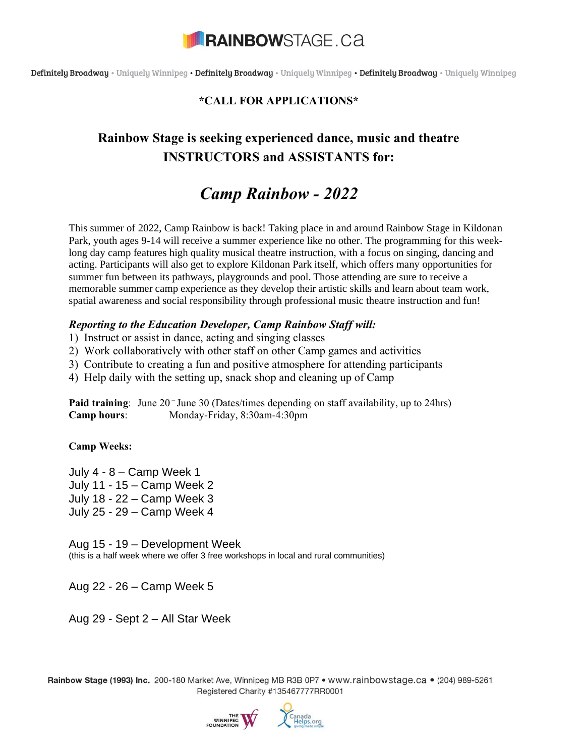

Definitely Broadway · Uniquely Winnipeg · Definitely Broadway · Uniquely Winnipeg · Definitely Broadway · Uniquely Winnipeg

### **\*CALL FOR APPLICATIONS\***

### **Rainbow Stage is seeking experienced dance, music and theatre INSTRUCTORS and ASSISTANTS for:**

## *Camp Rainbow - 2022*

This summer of 2022, Camp Rainbow is back! Taking place in and around Rainbow Stage in Kildonan Park, youth ages 9-14 will receive a summer experience like no other. The programming for this weeklong day camp features high quality musical theatre instruction, with a focus on singing, dancing and acting. Participants will also get to explore Kildonan Park itself, which offers many opportunities for summer fun between its pathways, playgrounds and pool. Those attending are sure to receive a memorable summer camp experience as they develop their artistic skills and learn about team work, spatial awareness and social responsibility through professional music theatre instruction and fun!

#### *Reporting to the Education Developer, Camp Rainbow Staff will:*

1) Instruct or assist in dance, acting and singing classes

2) Work collaboratively with other staff on other Camp games and activities

3) Contribute to creating a fun and positive atmosphere for attending participants

4) Help daily with the setting up, snack shop and cleaning up of Camp

Paid training: June 20<sup>-</sup>June 30 (Dates/times depending on staff availability, up to 24hrs) **Camp hours**: Monday-Friday, 8:30am-4:30pm

**Camp Weeks:** 

July 4 - 8 – Camp Week 1 July 11 - 15 – Camp Week 2 July 18 - 22 – Camp Week 3 July 25 - 29 – Camp Week 4

Aug 15 - 19 – Development Week (this is a half week where we offer 3 free workshops in local and rural communities)

Aug 22 - 26 – Camp Week 5

Aug 29 - Sept 2 – All Star Week

Rainbow Stage (1993) Inc. 200-180 Market Ave. Winnipeg MB R3B 0P7 • www.rainbowstage.ca • (204) 989-5261 Registered Charity #135467777RR0001

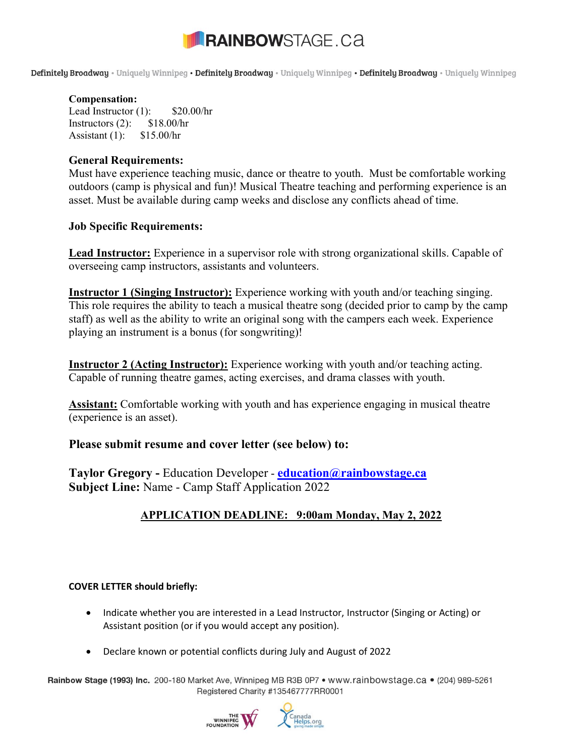# **RAINBOWSTAGE.CA**

Definitely Broadway · Uniquely Winnipeg · Definitely Broadway · Uniquely Winnipeg · Definitely Broadway · Uniquely Winnipeg

#### **Compensation:**

Lead Instructor (1): \$20.00/hr Instructors  $(2)$ : \$18.00/hr Assistant (1): \$15.00/hr

#### **General Requirements:**

Must have experience teaching music, dance or theatre to youth. Must be comfortable working outdoors (camp is physical and fun)! Musical Theatre teaching and performing experience is an asset. Must be available during camp weeks and disclose any conflicts ahead of time.

#### **Job Specific Requirements:**

**Lead Instructor:** Experience in a supervisor role with strong organizational skills. Capable of overseeing camp instructors, assistants and volunteers.

**Instructor 1 (Singing Instructor):** Experience working with youth and/or teaching singing. This role requires the ability to teach a musical theatre song (decided prior to camp by the camp staff) as well as the ability to write an original song with the campers each week. Experience playing an instrument is a bonus (for songwriting)!

**Instructor 2 (Acting Instructor):** Experience working with youth and/or teaching acting. Capable of running theatre games, acting exercises, and drama classes with youth.

**Assistant:** Comfortable working with youth and has experience engaging in musical theatre (experience is an asset).

#### **Please submit resume and cover letter (see below) to:**

**Taylor Gregory -** Education Developer - **[education@rainbowstage.ca](mailto:education@rainbowstage.ca)  Subject Line:** Name - Camp Staff Application 2022

### **APPLICATION DEADLINE: 9:00am Monday, May 2, 2022**

#### **COVER LETTER should briefly:**

- Indicate whether you are interested in a Lead Instructor, Instructor (Singing or Acting) or Assistant position (or if you would accept any position).
- Declare known or potential conflicts during July and August of 2022

Rainbow Stage (1993) Inc. 200-180 Market Ave. Winnipeg MB R3B 0P7 • www.rainbowstage.ca • (204) 989-5261 Registered Charity #135467777RR0001